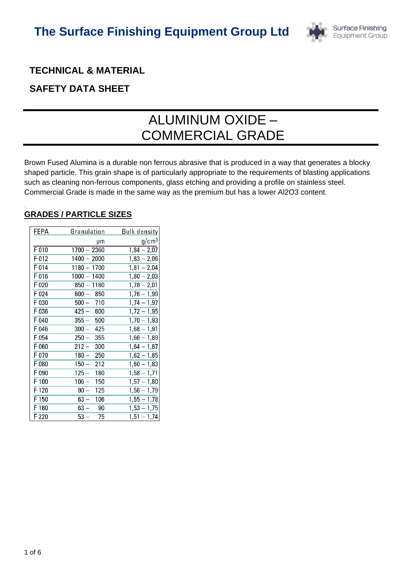

# **TECHNICAL & MATERIAL**

# **SAFETY DATA SHEET**

# ALUMINUM OXIDE – COMMERCIAL GRADE

Brown Fused Alumina is a durable non ferrous abrasive that is produced in a way that generates a blocky shaped particle. This grain shape is of particularly appropriate to the requirements of blasting applications such as cleaning non-ferrous components, glass etching and providing a profile on stainless steel. Commercial Grade is made in the same way as the premium but has a lower Al2O3 content.

# **GRADES / PARTICLE SIZES**

.

| FEPA    | Granulation   | <b>Bulk density</b> |
|---------|---------------|---------------------|
|         | μm            | g/cm <sup>3</sup>   |
| $F$ 010 | $1700 - 2360$ | $1,84 - 2,07$       |
| F 012   | $1400 - 2000$ | $1,83 - 2,06$       |
| F 014   | $1180 - 1700$ | $1,81 - 2,04$       |
| F 016   | $1000 - 1400$ | $1,80 - 2,03$       |
| F 020   | $850 - 1180$  | $1,78 - 2,01$       |
| F 024   | $600 - 850$   | $1,76 - 1,99$       |
| F 030   | $500 - 710$   | $1,74 - 1,97$       |
| F 036   | $425 - 600$   | $1,72 - 1,95$       |
| F 040   | $355 - 500$   | $1,70 - 1,93$       |
| F 046   | $300 - 425$   | $1,68 - 1,91$       |
| F 054   | 250 —<br>355  | $1,66 - 1,89$       |
| F 060   | $212 - 300$   | $1,64 - 1,87$       |
| F 070   | $180 - 250$   | $1,62 - 1,85$       |
| F 080   | 150 —<br>212  | $1,60 - 1,83$       |
| F 090   | $125 - 180$   | $1,58 - 1,71$       |
| F 100   | $106 - 150$   | $1,57 - 1,80$       |
| F 120   | $90 - 125$    | $1,56 - 1,79$       |
| F 150   | $63 - 106$    | $1,55 - 1,78$       |
| F 180   | $63 - 90$     | $1,53 - 1,75$       |
| F 220   | $53-$<br>- 75 | $1,51 - 1,74$       |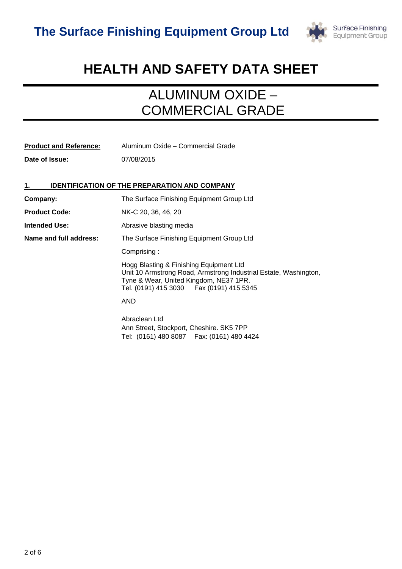

# **HEALTH AND SAFETY DATA SHEET**

# ALUMINUM OXIDE – COMMERCIAL GRADE

| <b>Product and Reference:</b> | Aluminum Oxide - Commercial Grade                                                                                                                                                                   |
|-------------------------------|-----------------------------------------------------------------------------------------------------------------------------------------------------------------------------------------------------|
| Date of Issue:                | 07/08/2015                                                                                                                                                                                          |
|                               |                                                                                                                                                                                                     |
|                               | <b>IDENTIFICATION OF THE PREPARATION AND COMPANY</b>                                                                                                                                                |
| Company:                      | The Surface Finishing Equipment Group Ltd                                                                                                                                                           |
| <b>Product Code:</b>          | NK-C 20, 36, 46, 20                                                                                                                                                                                 |
| <b>Intended Use:</b>          | Abrasive blasting media                                                                                                                                                                             |
| Name and full address:        | The Surface Finishing Equipment Group Ltd                                                                                                                                                           |
|                               | Comprising:                                                                                                                                                                                         |
|                               | Hogg Blasting & Finishing Equipment Ltd<br>Unit 10 Armstrong Road, Armstrong Industrial Estate, Washington,<br>Tyne & Wear, United Kingdom, NE37 1PR.<br>Tel. (0191) 415 3030   Fax (0191) 415 5345 |
|                               | AND                                                                                                                                                                                                 |
|                               | Abraclean Ltd<br>Ann Street, Stockport, Cheshire. SK5 7PP<br>Tel: (0161) 480 8087    Fax: (0161) 480 4424                                                                                           |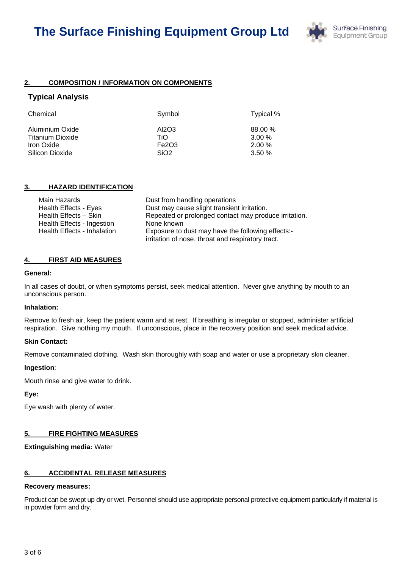

# **2. COMPOSITION / INFORMATION ON COMPONENTS**

# **Typical Analysis**

| Chemical         | Symbol           | Typical % |
|------------------|------------------|-----------|
| Aluminium Oxide  | AI2O3            | 88.00 %   |
| Titanium Dioxide | TiO.             | $3.00\%$  |
| Iron Oxide       | Fe2O3            | $2.00\%$  |
| Silicon Dioxide  | SiO <sub>2</sub> | 3.50%     |

# **3. HAZARD IDENTIFICATION**

| Main Hazards                      | Dust from handling operations                         |
|-----------------------------------|-------------------------------------------------------|
| <b>Health Effects - Eyes</b>      | Dust may cause slight transient irritation.           |
| Health Effects - Skin             | Repeated or prolonged contact may produce irritation. |
| <b>Health Effects - Ingestion</b> | None known                                            |
| Health Effects - Inhalation       | Exposure to dust may have the following effects:-     |
|                                   | irritation of nose, throat and respiratory tract.     |

### **4. FIRST AID MEASURES**

#### **General:**

In all cases of doubt, or when symptoms persist, seek medical attention. Never give anything by mouth to an unconscious person.

#### **Inhalation:**

Remove to fresh air, keep the patient warm and at rest. If breathing is irregular or stopped, administer artificial respiration. Give nothing my mouth. If unconscious, place in the recovery position and seek medical advice.

#### **Skin Contact:**

Remove contaminated clothing. Wash skin thoroughly with soap and water or use a proprietary skin cleaner.

#### **Ingestion**:

Mouth rinse and give water to drink.

**Eye:**

Eye wash with plenty of water.

# **5. FIRE FIGHTING MEASURES**

**Extinguishing media:** Water

# **6. ACCIDENTAL RELEASE MEASURES**

#### **Recovery measures:**

Product can be swept up dry or wet. Personnel should use appropriate personal protective equipment particularly if material is in powder form and dry.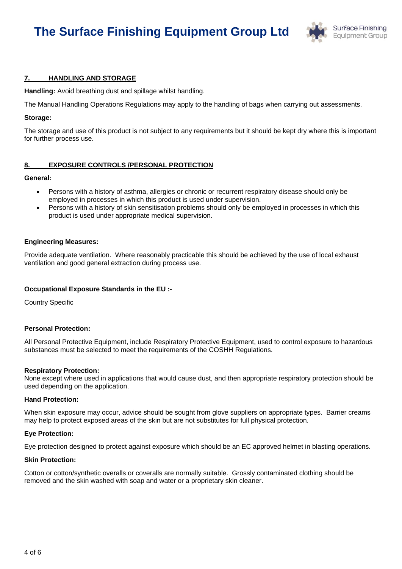# **The Surface Finishing Equipment Group Ltd**



### **7. HANDLING AND STORAGE**

**Handling:** Avoid breathing dust and spillage whilst handling.

The Manual Handling Operations Regulations may apply to the handling of bags when carrying out assessments.

#### **Storage:**

The storage and use of this product is not subject to any requirements but it should be kept dry where this is important for further process use.

#### **8. EXPOSURE CONTROLS /PERSONAL PROTECTION**

#### **General:**

- Persons with a history of asthma, allergies or chronic or recurrent respiratory disease should only be employed in processes in which this product is used under supervision.
- Persons with a history of skin sensitisation problems should only be employed in processes in which this product is used under appropriate medical supervision.

#### **Engineering Measures:**

Provide adequate ventilation. Where reasonably practicable this should be achieved by the use of local exhaust ventilation and good general extraction during process use.

#### **Occupational Exposure Standards in the EU :-**

Country Specific

#### **Personal Protection:**

All Personal Protective Equipment, include Respiratory Protective Equipment, used to control exposure to hazardous substances must be selected to meet the requirements of the COSHH Regulations.

#### **Respiratory Protection:**

None except where used in applications that would cause dust, and then appropriate respiratory protection should be used depending on the application.

#### **Hand Protection:**

When skin exposure may occur, advice should be sought from glove suppliers on appropriate types. Barrier creams may help to protect exposed areas of the skin but are not substitutes for full physical protection.

#### **Eye Protection:**

Eye protection designed to protect against exposure which should be an EC approved helmet in blasting operations.

#### **Skin Protection:**

Cotton or cotton/synthetic overalls or coveralls are normally suitable. Grossly contaminated clothing should be removed and the skin washed with soap and water or a proprietary skin cleaner.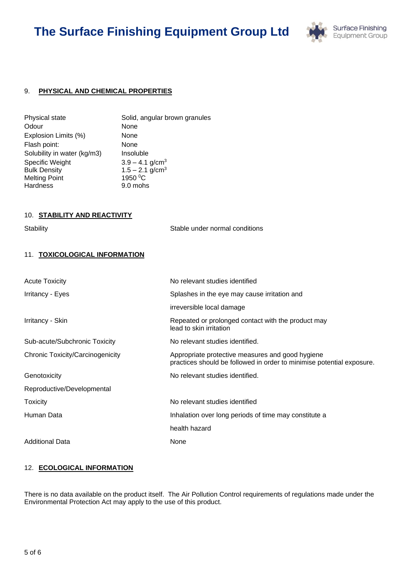# **The Surface Finishing Equipment Group Ltd**



# 9. **PHYSICAL AND CHEMICAL PROPERTIES**

| Solid, angular brown granules<br>None |
|---------------------------------------|
| None                                  |
| None                                  |
| Insoluble                             |
| $3.9 - 4.1$ g/cm <sup>3</sup>         |
| $1.5 - 2.1$ g/cm <sup>3</sup>         |
| 1950 °C                               |
| 9.0 mohs                              |
|                                       |

### 10. **STABILITY AND REACTIVITY**

Stability Stable under normal conditions

# 11. **TOXICOLOGICAL INFORMATION**

| <b>Acute Toxicity</b>                   | No relevant studies identified                                                                                            |
|-----------------------------------------|---------------------------------------------------------------------------------------------------------------------------|
| Irritancy - Eyes                        | Splashes in the eye may cause irritation and                                                                              |
|                                         | irreversible local damage                                                                                                 |
| Irritancy - Skin                        | Repeated or prolonged contact with the product may<br>lead to skin irritation                                             |
| Sub-acute/Subchronic Toxicity           | No relevant studies identified.                                                                                           |
| <b>Chronic Toxicity/Carcinogenicity</b> | Appropriate protective measures and good hygiene<br>practices should be followed in order to minimise potential exposure. |
| Genotoxicity                            | No relevant studies identified.                                                                                           |
| Reproductive/Developmental              |                                                                                                                           |
| <b>Toxicity</b>                         | No relevant studies identified                                                                                            |
| Human Data                              | Inhalation over long periods of time may constitute a                                                                     |
|                                         | health hazard                                                                                                             |
| <b>Additional Data</b>                  | None                                                                                                                      |

### 12. **ECOLOGICAL INFORMATION**

There is no data available on the product itself. The Air Pollution Control requirements of regulations made under the Environmental Protection Act may apply to the use of this product.